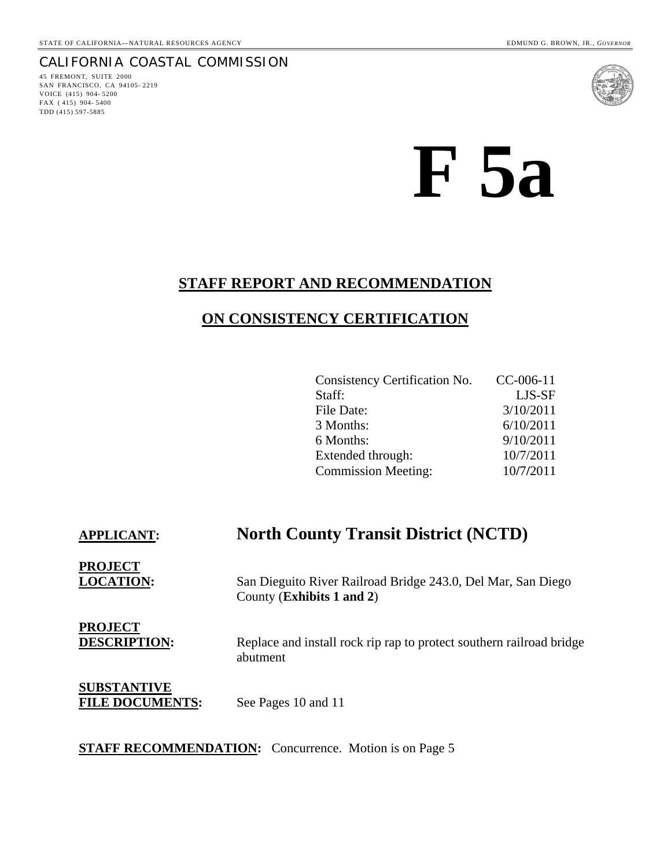# CALIFORNIA COASTAL COMMISSION

45 FREMONT, SUITE 2000 SAN FRANCISCO, CA 94105- 2219 VOICE (415) 904- 5200 FAX ( 415) 904- 5400 TDD (415) 597-5885



# **F 5a**

# **STAFF REPORT AND RECOMMENDATION**

# **ON CONSISTENCY CERTIFICATION**

| Consistency Certification No. | $CC-006-11$ |
|-------------------------------|-------------|
| Staff:                        | LJS-SF      |
| File Date:                    | 3/10/2011   |
| 3 Months:                     | 6/10/2011   |
| 6 Months:                     | 9/10/2011   |
| Extended through:             | 10/7/2011   |
| <b>Commission Meeting:</b>    | 10/7/2011   |

# **APPLICANT: North County Transit District (NCTD)**

**PROJECT**

**LOCATION:** San Dieguito River Railroad Bridge 243.0, Del Mar, San Diego County (**Exhibits 1 and 2**)

**PROJECT**

**DESCRIPTION:** Replace and install rock rip rap to protect southern railroad bridge abutment

**SUBSTANTIVE** FILE DOCUMENTS: See Pages 10 and 11

#### **STAFF RECOMMENDATION:** Concurrence. Motion is on Page 5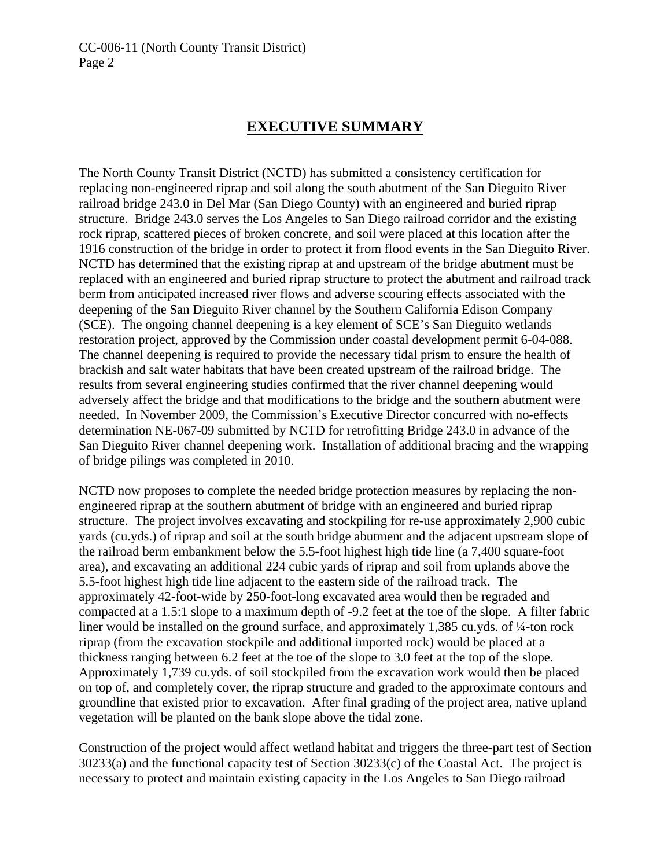# **EXECUTIVE SUMMARY**

The North County Transit District (NCTD) has submitted a consistency certification for replacing non-engineered riprap and soil along the south abutment of the San Dieguito River railroad bridge 243.0 in Del Mar (San Diego County) with an engineered and buried riprap structure. Bridge 243.0 serves the Los Angeles to San Diego railroad corridor and the existing rock riprap, scattered pieces of broken concrete, and soil were placed at this location after the 1916 construction of the bridge in order to protect it from flood events in the San Dieguito River. NCTD has determined that the existing riprap at and upstream of the bridge abutment must be replaced with an engineered and buried riprap structure to protect the abutment and railroad track berm from anticipated increased river flows and adverse scouring effects associated with the deepening of the San Dieguito River channel by the Southern California Edison Company (SCE). The ongoing channel deepening is a key element of SCE's San Dieguito wetlands restoration project, approved by the Commission under coastal development permit 6-04-088. The channel deepening is required to provide the necessary tidal prism to ensure the health of brackish and salt water habitats that have been created upstream of the railroad bridge. The results from several engineering studies confirmed that the river channel deepening would adversely affect the bridge and that modifications to the bridge and the southern abutment were needed. In November 2009, the Commission's Executive Director concurred with no-effects determination NE-067-09 submitted by NCTD for retrofitting Bridge 243.0 in advance of the San Dieguito River channel deepening work. Installation of additional bracing and the wrapping of bridge pilings was completed in 2010.

NCTD now proposes to complete the needed bridge protection measures by replacing the nonengineered riprap at the southern abutment of bridge with an engineered and buried riprap structure. The project involves excavating and stockpiling for re-use approximately 2,900 cubic yards (cu.yds.) of riprap and soil at the south bridge abutment and the adjacent upstream slope of the railroad berm embankment below the 5.5-foot highest high tide line (a 7,400 square-foot area), and excavating an additional 224 cubic yards of riprap and soil from uplands above the 5.5-foot highest high tide line adjacent to the eastern side of the railroad track. The approximately 42-foot-wide by 250-foot-long excavated area would then be regraded and compacted at a 1.5:1 slope to a maximum depth of -9.2 feet at the toe of the slope. A filter fabric liner would be installed on the ground surface, and approximately 1,385 cu.yds. of ¼-ton rock riprap (from the excavation stockpile and additional imported rock) would be placed at a thickness ranging between 6.2 feet at the toe of the slope to 3.0 feet at the top of the slope. Approximately 1,739 cu.yds. of soil stockpiled from the excavation work would then be placed on top of, and completely cover, the riprap structure and graded to the approximate contours and groundline that existed prior to excavation. After final grading of the project area, native upland vegetation will be planted on the bank slope above the tidal zone.

Construction of the project would affect wetland habitat and triggers the three-part test of Section 30233(a) and the functional capacity test of Section 30233(c) of the Coastal Act. The project is necessary to protect and maintain existing capacity in the Los Angeles to San Diego railroad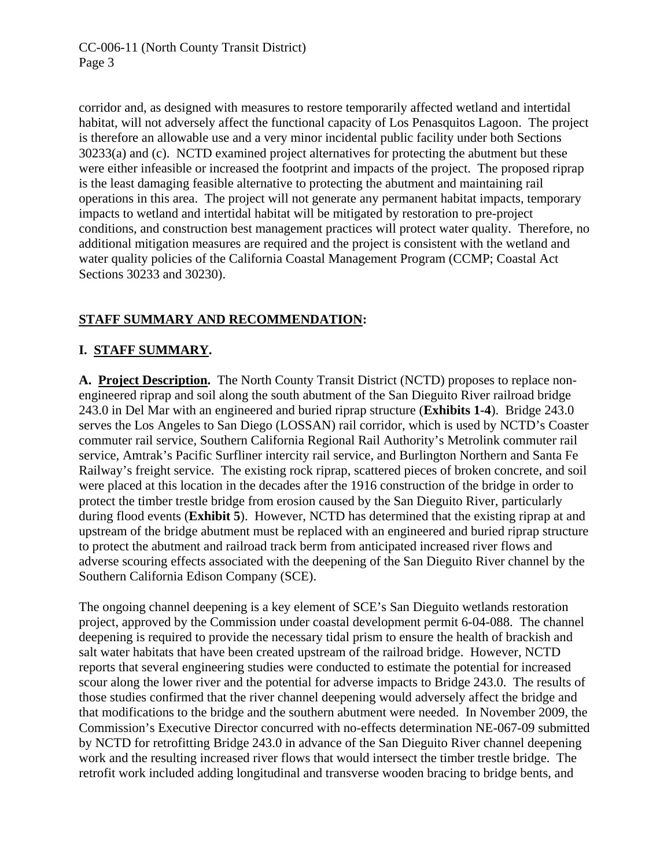corridor and, as designed with measures to restore temporarily affected wetland and intertidal habitat, will not adversely affect the functional capacity of Los Penasquitos Lagoon. The project is therefore an allowable use and a very minor incidental public facility under both Sections 30233(a) and (c). NCTD examined project alternatives for protecting the abutment but these were either infeasible or increased the footprint and impacts of the project. The proposed riprap is the least damaging feasible alternative to protecting the abutment and maintaining rail operations in this area. The project will not generate any permanent habitat impacts, temporary impacts to wetland and intertidal habitat will be mitigated by restoration to pre-project conditions, and construction best management practices will protect water quality. Therefore, no additional mitigation measures are required and the project is consistent with the wetland and water quality policies of the California Coastal Management Program (CCMP; Coastal Act Sections 30233 and 30230).

# **STAFF SUMMARY AND RECOMMENDATION:**

# **I. STAFF SUMMARY.**

**A. Project Description.** The North County Transit District (NCTD) proposes to replace nonengineered riprap and soil along the south abutment of the San Dieguito River railroad bridge 243.0 in Del Mar with an engineered and buried riprap structure (**Exhibits 1-4**). Bridge 243.0 serves the Los Angeles to San Diego (LOSSAN) rail corridor, which is used by NCTD's Coaster commuter rail service, Southern California Regional Rail Authority's Metrolink commuter rail service, Amtrak's Pacific Surfliner intercity rail service, and Burlington Northern and Santa Fe Railway's freight service. The existing rock riprap, scattered pieces of broken concrete, and soil were placed at this location in the decades after the 1916 construction of the bridge in order to protect the timber trestle bridge from erosion caused by the San Dieguito River, particularly during flood events (**Exhibit 5**). However, NCTD has determined that the existing riprap at and upstream of the bridge abutment must be replaced with an engineered and buried riprap structure to protect the abutment and railroad track berm from anticipated increased river flows and adverse scouring effects associated with the deepening of the San Dieguito River channel by the Southern California Edison Company (SCE).

The ongoing channel deepening is a key element of SCE's San Dieguito wetlands restoration project, approved by the Commission under coastal development permit 6-04-088. The channel deepening is required to provide the necessary tidal prism to ensure the health of brackish and salt water habitats that have been created upstream of the railroad bridge. However, NCTD reports that several engineering studies were conducted to estimate the potential for increased scour along the lower river and the potential for adverse impacts to Bridge 243.0. The results of those studies confirmed that the river channel deepening would adversely affect the bridge and that modifications to the bridge and the southern abutment were needed. In November 2009, the Commission's Executive Director concurred with no-effects determination NE-067-09 submitted by NCTD for retrofitting Bridge 243.0 in advance of the San Dieguito River channel deepening work and the resulting increased river flows that would intersect the timber trestle bridge. The retrofit work included adding longitudinal and transverse wooden bracing to bridge bents, and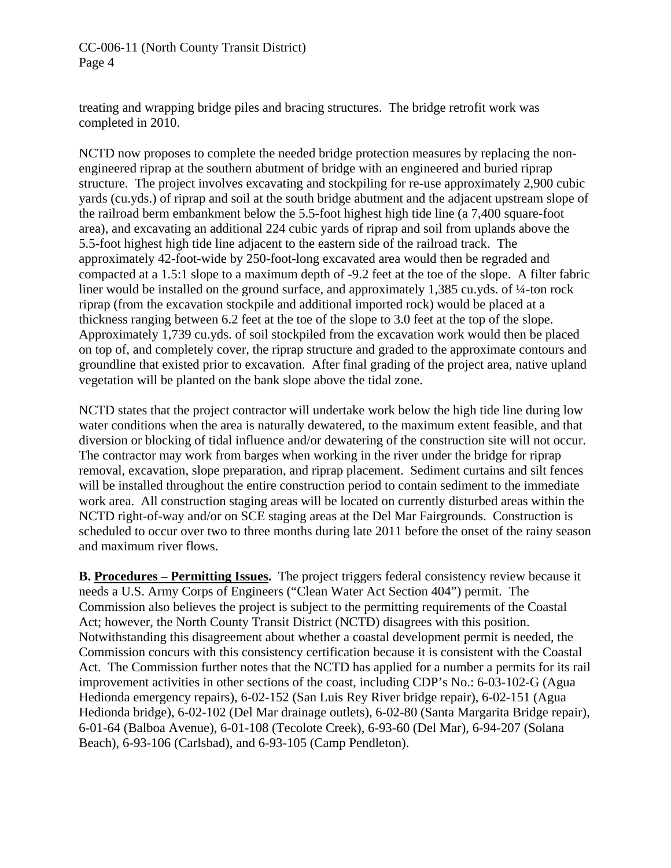CC-006-11 (North County Transit District) Page 4

treating and wrapping bridge piles and bracing structures. The bridge retrofit work was completed in 2010.

NCTD now proposes to complete the needed bridge protection measures by replacing the nonengineered riprap at the southern abutment of bridge with an engineered and buried riprap structure. The project involves excavating and stockpiling for re-use approximately 2,900 cubic yards (cu.yds.) of riprap and soil at the south bridge abutment and the adjacent upstream slope of the railroad berm embankment below the 5.5-foot highest high tide line (a 7,400 square-foot area), and excavating an additional 224 cubic yards of riprap and soil from uplands above the 5.5-foot highest high tide line adjacent to the eastern side of the railroad track. The approximately 42-foot-wide by 250-foot-long excavated area would then be regraded and compacted at a 1.5:1 slope to a maximum depth of -9.2 feet at the toe of the slope. A filter fabric liner would be installed on the ground surface, and approximately 1,385 cu.yds. of ¼-ton rock riprap (from the excavation stockpile and additional imported rock) would be placed at a thickness ranging between 6.2 feet at the toe of the slope to 3.0 feet at the top of the slope. Approximately 1,739 cu.yds. of soil stockpiled from the excavation work would then be placed on top of, and completely cover, the riprap structure and graded to the approximate contours and groundline that existed prior to excavation. After final grading of the project area, native upland vegetation will be planted on the bank slope above the tidal zone.

NCTD states that the project contractor will undertake work below the high tide line during low water conditions when the area is naturally dewatered, to the maximum extent feasible, and that diversion or blocking of tidal influence and/or dewatering of the construction site will not occur. The contractor may work from barges when working in the river under the bridge for riprap removal, excavation, slope preparation, and riprap placement. Sediment curtains and silt fences will be installed throughout the entire construction period to contain sediment to the immediate work area. All construction staging areas will be located on currently disturbed areas within the NCTD right-of-way and/or on SCE staging areas at the Del Mar Fairgrounds. Construction is scheduled to occur over two to three months during late 2011 before the onset of the rainy season and maximum river flows.

**B. Procedures – Permitting Issues.** The project triggers federal consistency review because it needs a U.S. Army Corps of Engineers ("Clean Water Act Section 404") permit. The Commission also believes the project is subject to the permitting requirements of the Coastal Act; however, the North County Transit District (NCTD) disagrees with this position. Notwithstanding this disagreement about whether a coastal development permit is needed, the Commission concurs with this consistency certification because it is consistent with the Coastal Act. The Commission further notes that the NCTD has applied for a number a permits for its rail improvement activities in other sections of the coast, including CDP's No.: 6-03-102-G (Agua Hedionda emergency repairs), 6-02-152 (San Luis Rey River bridge repair), 6-02-151 (Agua Hedionda bridge), 6-02-102 (Del Mar drainage outlets), 6-02-80 (Santa Margarita Bridge repair), 6-01-64 (Balboa Avenue), 6-01-108 (Tecolote Creek), 6-93-60 (Del Mar), 6-94-207 (Solana Beach), 6-93-106 (Carlsbad), and 6-93-105 (Camp Pendleton).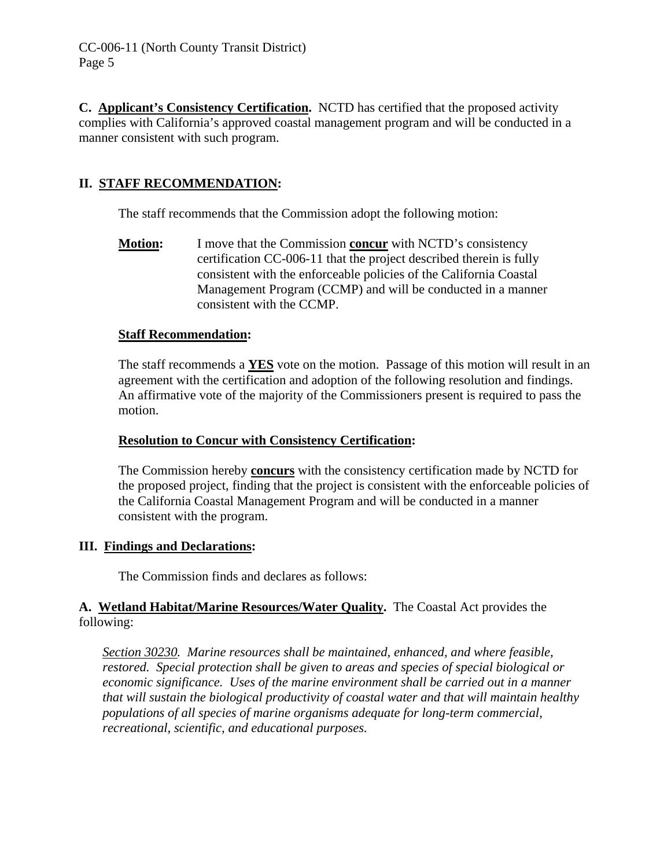**C. Applicant's Consistency Certification.** NCTD has certified that the proposed activity complies with California's approved coastal management program and will be conducted in a manner consistent with such program.

# **II. STAFF RECOMMENDATION:**

The staff recommends that the Commission adopt the following motion:

**Motion:** I move that the Commission **concur** with NCTD's consistency certification CC-006-11 that the project described therein is fully consistent with the enforceable policies of the California Coastal Management Program (CCMP) and will be conducted in a manner consistent with the CCMP.

# **Staff Recommendation:**

The staff recommends a **YES** vote on the motion. Passage of this motion will result in an agreement with the certification and adoption of the following resolution and findings. An affirmative vote of the majority of the Commissioners present is required to pass the motion.

# **Resolution to Concur with Consistency Certification:**

The Commission hereby **concurs** with the consistency certification made by NCTD for the proposed project, finding that the project is consistent with the enforceable policies of the California Coastal Management Program and will be conducted in a manner consistent with the program.

## **III. Findings and Declarations:**

The Commission finds and declares as follows:

# **A. Wetland Habitat/Marine Resources/Water Quality.** The Coastal Act provides the following:

*Section 30230. Marine resources shall be maintained, enhanced, and where feasible, restored. Special protection shall be given to areas and species of special biological or economic significance. Uses of the marine environment shall be carried out in a manner that will sustain the biological productivity of coastal water and that will maintain healthy populations of all species of marine organisms adequate for long-term commercial, recreational, scientific, and educational purposes.*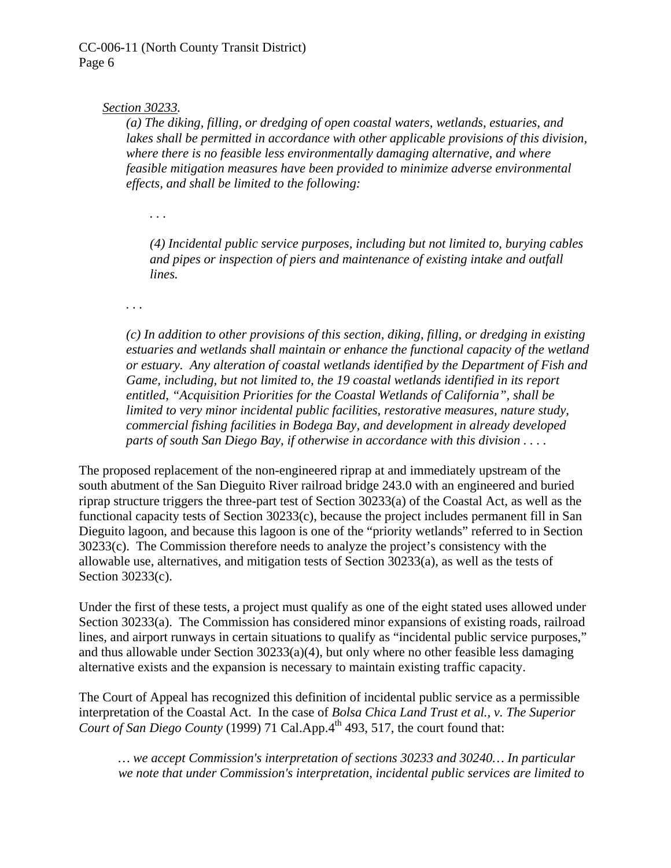#### *Section 30233.*

*(a) The diking, filling, or dredging of open coastal waters, wetlands, estuaries, and lakes shall be permitted in accordance with other applicable provisions of this division, where there is no feasible less environmentally damaging alternative, and where feasible mitigation measures have been provided to minimize adverse environmental effects, and shall be limited to the following:* 

*. . .* 

*(4) Incidental public service purposes, including but not limited to, burying cables and pipes or inspection of piers and maintenance of existing intake and outfall lines.* 

*. . .* 

*(c) In addition to other provisions of this section, diking, filling, or dredging in existing estuaries and wetlands shall maintain or enhance the functional capacity of the wetland or estuary. Any alteration of coastal wetlands identified by the Department of Fish and Game, including, but not limited to, the 19 coastal wetlands identified in its report entitled, "Acquisition Priorities for the Coastal Wetlands of California", shall be limited to very minor incidental public facilities, restorative measures, nature study, commercial fishing facilities in Bodega Bay, and development in already developed parts of south San Diego Bay, if otherwise in accordance with this division . . . .* 

The proposed replacement of the non-engineered riprap at and immediately upstream of the south abutment of the San Dieguito River railroad bridge 243.0 with an engineered and buried riprap structure triggers the three-part test of Section 30233(a) of the Coastal Act, as well as the functional capacity tests of Section 30233(c), because the project includes permanent fill in San Dieguito lagoon, and because this lagoon is one of the "priority wetlands" referred to in Section 30233(c). The Commission therefore needs to analyze the project's consistency with the allowable use, alternatives, and mitigation tests of Section 30233(a), as well as the tests of Section 30233(c).

Under the first of these tests, a project must qualify as one of the eight stated uses allowed under Section 30233(a). The Commission has considered minor expansions of existing roads, railroad lines, and airport runways in certain situations to qualify as "incidental public service purposes," and thus allowable under Section  $30233(a)(4)$ , but only where no other feasible less damaging alternative exists and the expansion is necessary to maintain existing traffic capacity.

The Court of Appeal has recognized this definition of incidental public service as a permissible interpretation of the Coastal Act. In the case of *Bolsa Chica Land Trust et al., v. The Superior Court of San Diego County* (1999) 71 Cal.App.4<sup>th</sup> 493, 517, the court found that:

*… we accept Commission's interpretation of sections 30233 and 30240… In particular we note that under Commission's interpretation, incidental public services are limited to*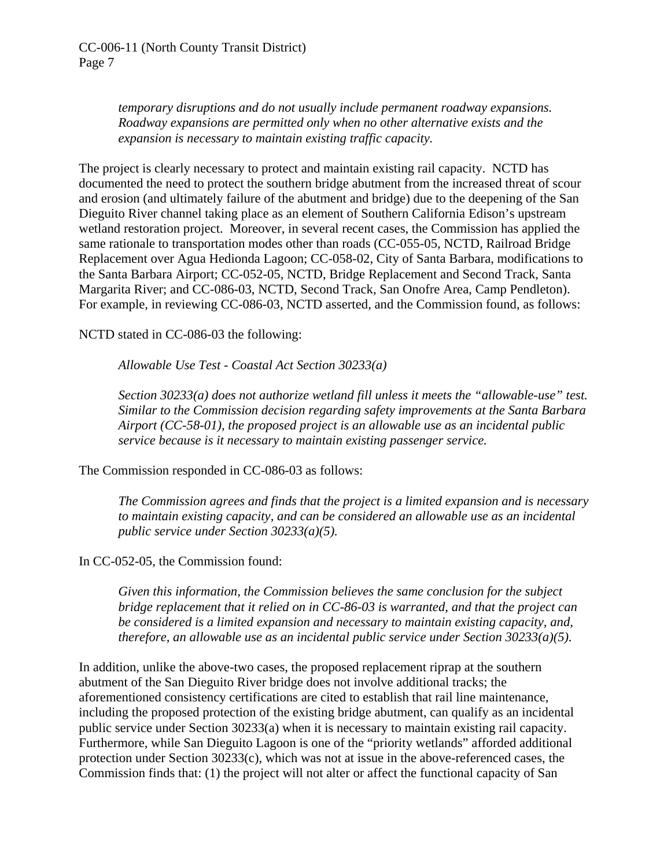*temporary disruptions and do not usually include permanent roadway expansions. Roadway expansions are permitted only when no other alternative exists and the expansion is necessary to maintain existing traffic capacity.* 

The project is clearly necessary to protect and maintain existing rail capacity. NCTD has documented the need to protect the southern bridge abutment from the increased threat of scour and erosion (and ultimately failure of the abutment and bridge) due to the deepening of the San Dieguito River channel taking place as an element of Southern California Edison's upstream wetland restoration project. Moreover, in several recent cases, the Commission has applied the same rationale to transportation modes other than roads (CC-055-05, NCTD, Railroad Bridge Replacement over Agua Hedionda Lagoon; CC-058-02, City of Santa Barbara, modifications to the Santa Barbara Airport; CC-052-05, NCTD, Bridge Replacement and Second Track, Santa Margarita River; and CC-086-03, NCTD, Second Track, San Onofre Area, Camp Pendleton). For example, in reviewing CC-086-03, NCTD asserted, and the Commission found, as follows:

NCTD stated in CC-086-03 the following:

*Allowable Use Test - Coastal Act Section 30233(a)* 

*Section 30233(a) does not authorize wetland fill unless it meets the "allowable-use" test. Similar to the Commission decision regarding safety improvements at the Santa Barbara Airport (CC-58-01), the proposed project is an allowable use as an incidental public service because is it necessary to maintain existing passenger service.* 

The Commission responded in CC-086-03 as follows:

*The Commission agrees and finds that the project is a limited expansion and is necessary to maintain existing capacity, and can be considered an allowable use as an incidental public service under Section 30233(a)(5).* 

In CC-052-05, the Commission found:

*Given this information, the Commission believes the same conclusion for the subject bridge replacement that it relied on in CC-86-03 is warranted, and that the project can be considered is a limited expansion and necessary to maintain existing capacity, and, therefore, an allowable use as an incidental public service under Section 30233(a)(5).* 

In addition, unlike the above-two cases, the proposed replacement riprap at the southern abutment of the San Dieguito River bridge does not involve additional tracks; the aforementioned consistency certifications are cited to establish that rail line maintenance, including the proposed protection of the existing bridge abutment, can qualify as an incidental public service under Section 30233(a) when it is necessary to maintain existing rail capacity. Furthermore, while San Dieguito Lagoon is one of the "priority wetlands" afforded additional protection under Section 30233(c), which was not at issue in the above-referenced cases, the Commission finds that: (1) the project will not alter or affect the functional capacity of San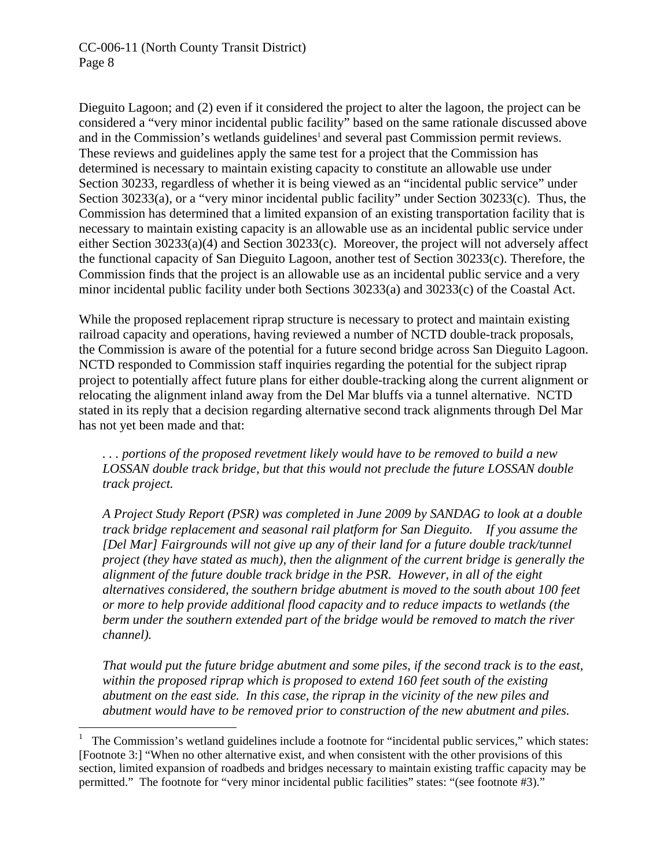## CC-006-11 (North County Transit District) Page 8

 $\overline{a}$ 

Dieguito Lagoon; and (2) even if it considered the project to alter the lagoon, the project can be considered a "very minor incidental public facility" based on the same rationale discussed above and in the Commission's wetlands guidelines<sup>1</sup> and several past Commission permit reviews. These reviews and guidelines apply the same test for a project that the Commission has determined is necessary to maintain existing capacity to constitute an allowable use under Section 30233, regardless of whether it is being viewed as an "incidental public service" under Section 30233(a), or a "very minor incidental public facility" under Section 30233(c). Thus, the Commission has determined that a limited expansion of an existing transportation facility that is necessary to maintain existing capacity is an allowable use as an incidental public service under either Section 30233(a)(4) and Section 30233(c). Moreover, the project will not adversely affect the functional capacity of San Dieguito Lagoon, another test of Section 30233(c). Therefore, the Commission finds that the project is an allowable use as an incidental public service and a very minor incidental public facility under both Sections 30233(a) and 30233(c) of the Coastal Act.

While the proposed replacement riprap structure is necessary to protect and maintain existing railroad capacity and operations, having reviewed a number of NCTD double-track proposals, the Commission is aware of the potential for a future second bridge across San Dieguito Lagoon. NCTD responded to Commission staff inquiries regarding the potential for the subject riprap project to potentially affect future plans for either double-tracking along the current alignment or relocating the alignment inland away from the Del Mar bluffs via a tunnel alternative. NCTD stated in its reply that a decision regarding alternative second track alignments through Del Mar has not yet been made and that:

*. . . portions of the proposed revetment likely would have to be removed to build a new LOSSAN double track bridge, but that this would not preclude the future LOSSAN double track project.* 

*A Project Study Report (PSR) was completed in June 2009 by SANDAG to look at a double track bridge replacement and seasonal rail platform for San Dieguito. If you assume the [Del Mar] Fairgrounds will not give up any of their land for a future double track/tunnel project (they have stated as much), then the alignment of the current bridge is generally the alignment of the future double track bridge in the PSR. However, in all of the eight alternatives considered, the southern bridge abutment is moved to the south about 100 feet or more to help provide additional flood capacity and to reduce impacts to wetlands (the berm under the southern extended part of the bridge would be removed to match the river channel).* 

*That would put the future bridge abutment and some piles, if the second track is to the east, within the proposed riprap which is proposed to extend 160 feet south of the existing abutment on the east side. In this case, the riprap in the vicinity of the new piles and abutment would have to be removed prior to construction of the new abutment and piles.* 

<sup>1</sup> The Commission's wetland guidelines include a footnote for "incidental public services," which states: [Footnote 3:] "When no other alternative exist, and when consistent with the other provisions of this section, limited expansion of roadbeds and bridges necessary to maintain existing traffic capacity may be permitted." The footnote for "very minor incidental public facilities" states: "(see footnote #3)."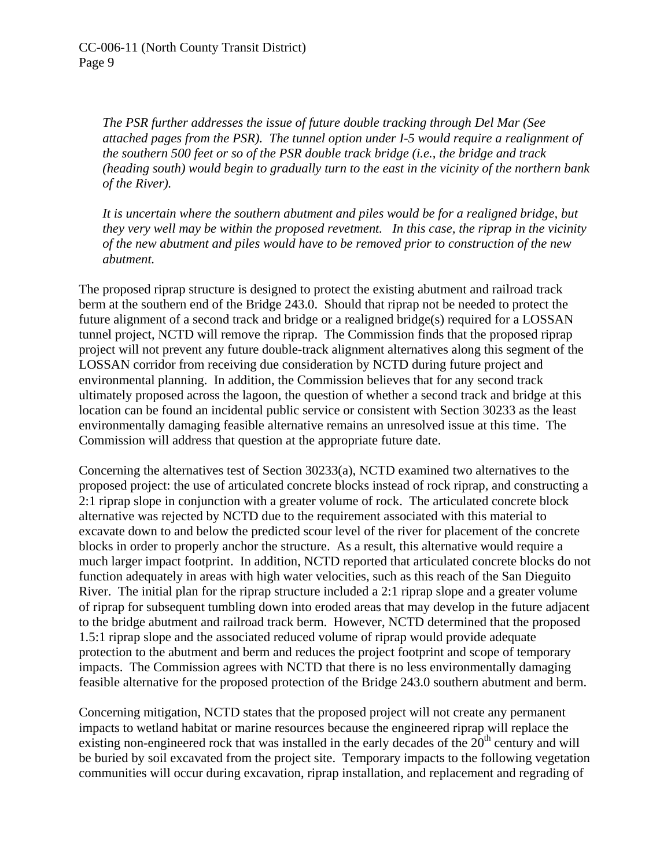*The PSR further addresses the issue of future double tracking through Del Mar (See attached pages from the PSR). The tunnel option under I-5 would require a realignment of the southern 500 feet or so of the PSR double track bridge (i.e., the bridge and track (heading south) would begin to gradually turn to the east in the vicinity of the northern bank of the River).* 

*It is uncertain where the southern abutment and piles would be for a realigned bridge, but they very well may be within the proposed revetment. In this case, the riprap in the vicinity of the new abutment and piles would have to be removed prior to construction of the new abutment.* 

The proposed riprap structure is designed to protect the existing abutment and railroad track berm at the southern end of the Bridge 243.0. Should that riprap not be needed to protect the future alignment of a second track and bridge or a realigned bridge(s) required for a LOSSAN tunnel project, NCTD will remove the riprap. The Commission finds that the proposed riprap project will not prevent any future double-track alignment alternatives along this segment of the LOSSAN corridor from receiving due consideration by NCTD during future project and environmental planning. In addition, the Commission believes that for any second track ultimately proposed across the lagoon, the question of whether a second track and bridge at this location can be found an incidental public service or consistent with Section 30233 as the least environmentally damaging feasible alternative remains an unresolved issue at this time. The Commission will address that question at the appropriate future date.

Concerning the alternatives test of Section 30233(a), NCTD examined two alternatives to the proposed project: the use of articulated concrete blocks instead of rock riprap, and constructing a 2:1 riprap slope in conjunction with a greater volume of rock. The articulated concrete block alternative was rejected by NCTD due to the requirement associated with this material to excavate down to and below the predicted scour level of the river for placement of the concrete blocks in order to properly anchor the structure. As a result, this alternative would require a much larger impact footprint. In addition, NCTD reported that articulated concrete blocks do not function adequately in areas with high water velocities, such as this reach of the San Dieguito River. The initial plan for the riprap structure included a 2:1 riprap slope and a greater volume of riprap for subsequent tumbling down into eroded areas that may develop in the future adjacent to the bridge abutment and railroad track berm. However, NCTD determined that the proposed 1.5:1 riprap slope and the associated reduced volume of riprap would provide adequate protection to the abutment and berm and reduces the project footprint and scope of temporary impacts. The Commission agrees with NCTD that there is no less environmentally damaging feasible alternative for the proposed protection of the Bridge 243.0 southern abutment and berm.

Concerning mitigation, NCTD states that the proposed project will not create any permanent impacts to wetland habitat or marine resources because the engineered riprap will replace the existing non-engineered rock that was installed in the early decades of the  $20<sup>th</sup>$  century and will be buried by soil excavated from the project site. Temporary impacts to the following vegetation communities will occur during excavation, riprap installation, and replacement and regrading of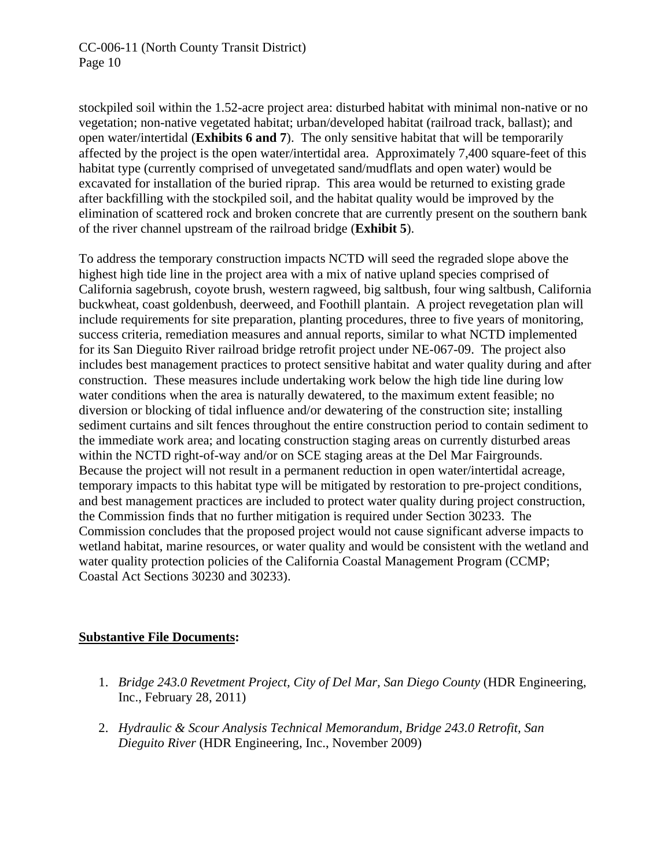stockpiled soil within the 1.52-acre project area: disturbed habitat with minimal non-native or no vegetation; non-native vegetated habitat; urban/developed habitat (railroad track, ballast); and open water/intertidal (**Exhibits 6 and 7**). The only sensitive habitat that will be temporarily affected by the project is the open water/intertidal area. Approximately 7,400 square-feet of this habitat type (currently comprised of unvegetated sand/mudflats and open water) would be excavated for installation of the buried riprap. This area would be returned to existing grade after backfilling with the stockpiled soil, and the habitat quality would be improved by the elimination of scattered rock and broken concrete that are currently present on the southern bank of the river channel upstream of the railroad bridge (**Exhibit 5**).

To address the temporary construction impacts NCTD will seed the regraded slope above the highest high tide line in the project area with a mix of native upland species comprised of California sagebrush, coyote brush, western ragweed, big saltbush, four wing saltbush, California buckwheat, coast goldenbush, deerweed, and Foothill plantain. A project revegetation plan will include requirements for site preparation, planting procedures, three to five years of monitoring, success criteria, remediation measures and annual reports, similar to what NCTD implemented for its San Dieguito River railroad bridge retrofit project under NE-067-09. The project also includes best management practices to protect sensitive habitat and water quality during and after construction. These measures include undertaking work below the high tide line during low water conditions when the area is naturally dewatered, to the maximum extent feasible; no diversion or blocking of tidal influence and/or dewatering of the construction site; installing sediment curtains and silt fences throughout the entire construction period to contain sediment to the immediate work area; and locating construction staging areas on currently disturbed areas within the NCTD right-of-way and/or on SCE staging areas at the Del Mar Fairgrounds. Because the project will not result in a permanent reduction in open water/intertidal acreage, temporary impacts to this habitat type will be mitigated by restoration to pre-project conditions, and best management practices are included to protect water quality during project construction, the Commission finds that no further mitigation is required under Section 30233. The Commission concludes that the proposed project would not cause significant adverse impacts to wetland habitat, marine resources, or water quality and would be consistent with the wetland and water quality protection policies of the California Coastal Management Program (CCMP; Coastal Act Sections 30230 and 30233).

## **Substantive File Documents:**

- 1. *Bridge 243.0 Revetment Project, City of Del Mar, San Diego County* (HDR Engineering, Inc., February 28, 2011)
- 2. *Hydraulic & Scour Analysis Technical Memorandum, Bridge 243.0 Retrofit, San Dieguito River* (HDR Engineering, Inc., November 2009)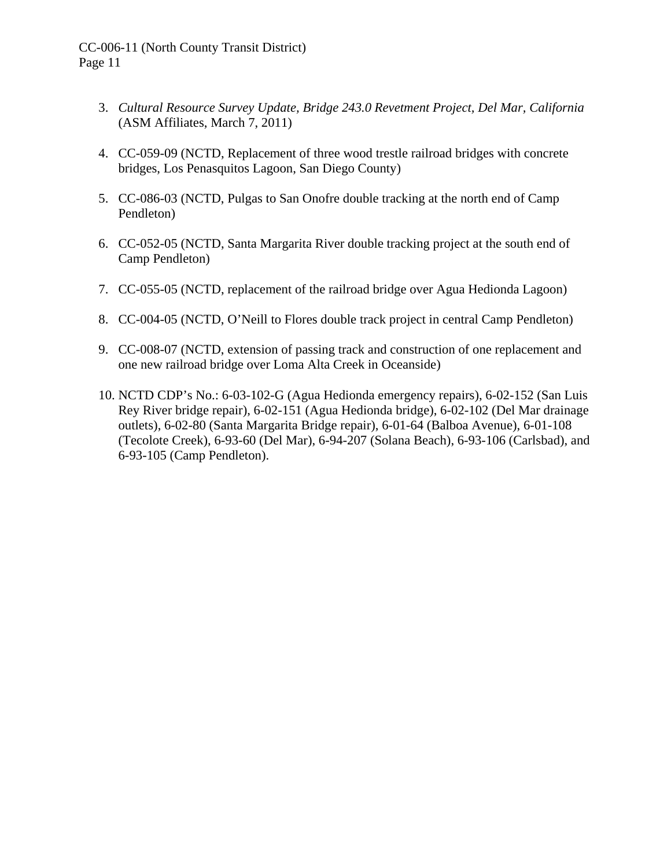- 3. *Cultural Resource Survey Update, Bridge 243.0 Revetment Project, Del Mar, California* (ASM Affiliates, March 7, 2011)
- 4. CC-059-09 (NCTD, Replacement of three wood trestle railroad bridges with concrete bridges, Los Penasquitos Lagoon, San Diego County)
- 5. CC-086-03 (NCTD, Pulgas to San Onofre double tracking at the north end of Camp Pendleton)
- 6. CC-052-05 (NCTD, Santa Margarita River double tracking project at the south end of Camp Pendleton)
- 7. CC-055-05 (NCTD, replacement of the railroad bridge over Agua Hedionda Lagoon)
- 8. CC-004-05 (NCTD, O'Neill to Flores double track project in central Camp Pendleton)
- 9. CC-008-07 (NCTD, extension of passing track and construction of one replacement and one new railroad bridge over Loma Alta Creek in Oceanside)
- 10. NCTD CDP's No.: 6-03-102-G (Agua Hedionda emergency repairs), 6-02-152 (San Luis Rey River bridge repair), 6-02-151 (Agua Hedionda bridge), 6-02-102 (Del Mar drainage outlets), 6-02-80 (Santa Margarita Bridge repair), 6-01-64 (Balboa Avenue), 6-01-108 (Tecolote Creek), 6-93-60 (Del Mar), 6-94-207 (Solana Beach), 6-93-106 (Carlsbad), and 6-93-105 (Camp Pendleton).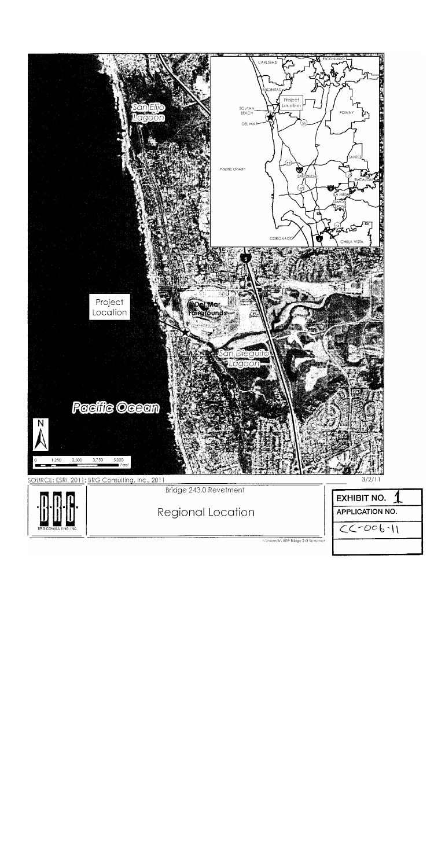

Regional Location

| <b>EXHIBIT NO.</b>     |  |
|------------------------|--|
| <b>APPLICATION NO.</b> |  |
| $2 - 006 - 11$         |  |
|                        |  |

H.\projects\1019 Bridge 243 Revelmen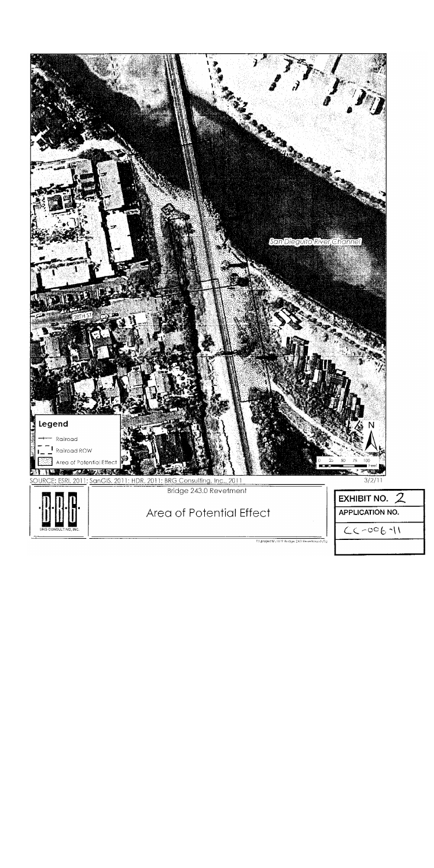

 $\text{F:N}$ projects $\overline{\text{N}019}$  Budge 243 Revertment $\text{N}$ Tig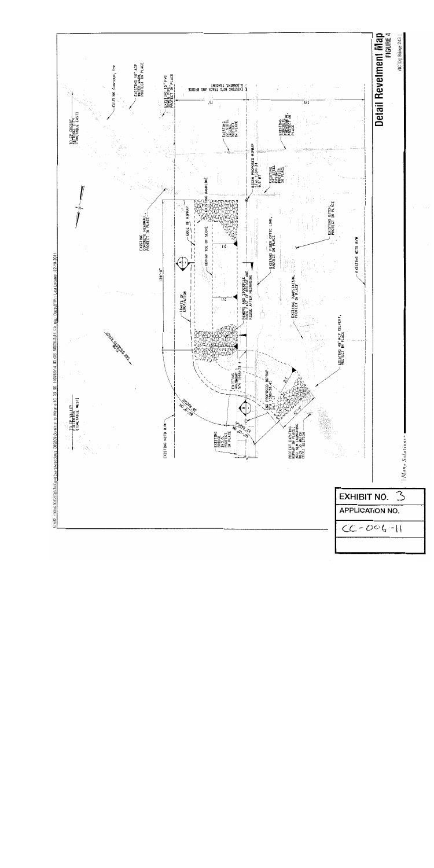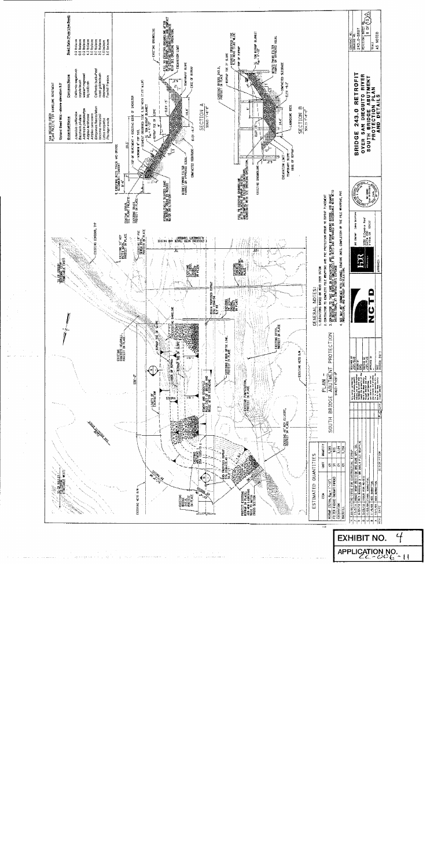

APPLICATION NO.

 $\overline{4}$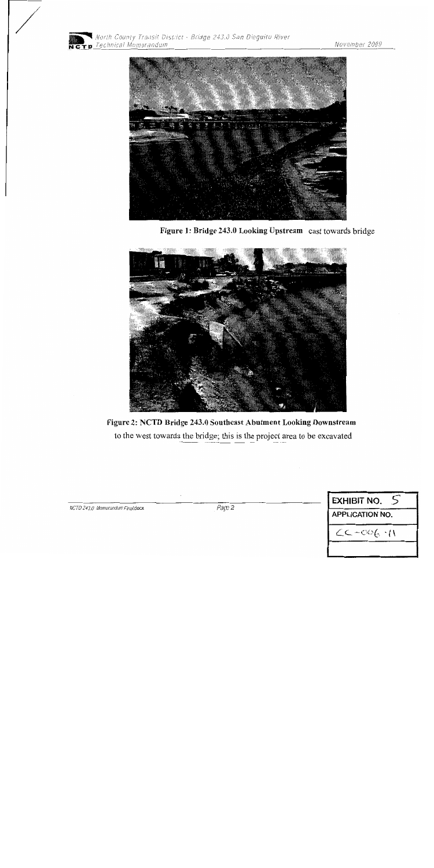



Figure 1: Bridge 243.0 Looking Upstream cast towards bridge



Figure 2: NCTD Bridge 243.0 Southeast Abutment Looking Downstream to the west towards the bridge; this is the project area to be excavated

| <b>EXHIBIT NO.</b>     |  |
|------------------------|--|
| <b>APPLICATION NO.</b> |  |
| $CC-CO(-1)$            |  |

NCTD 243.0 Memorandum Final.docx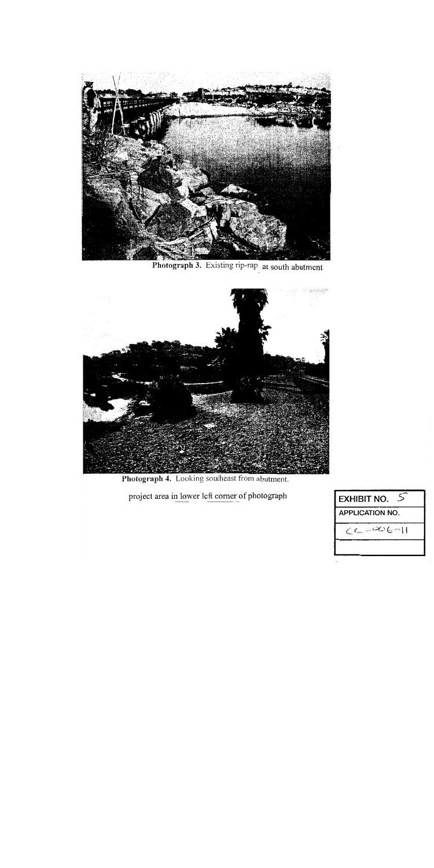

Photograph 3. Existing rip-rap at south abutment



Photograph 4. Looking southeast from abutment.

project area in lower left corner of photograph

| <b>EXHIBIT NO.</b>     |
|------------------------|
| <b>APPLICATION NO.</b> |
| $CC - 006 - 11$        |
|                        |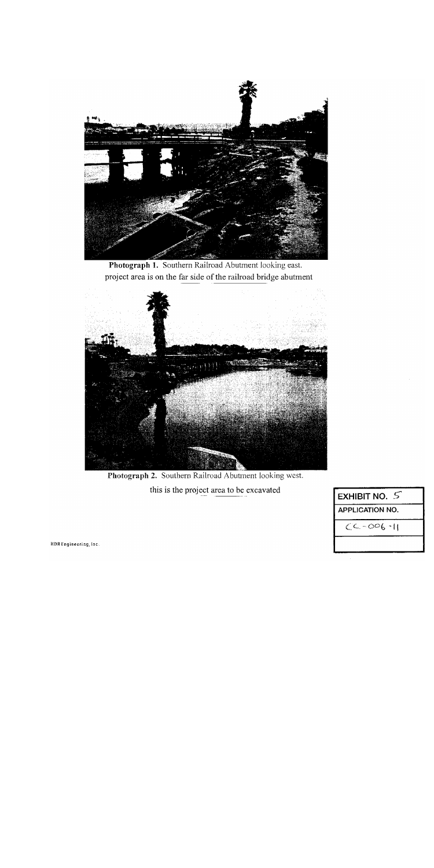

Photograph 1. Southern Railroad Abutment looking east. project area is on the far side of the railroad bridge abutment



Photograph 2. Southern Railroad Abutment looking west. this is the project area to be excavated

| EXHIBIT NO. $\leq$     |
|------------------------|
| <b>APPLICATION NO.</b> |
| $CC - CO6 - 11$        |
|                        |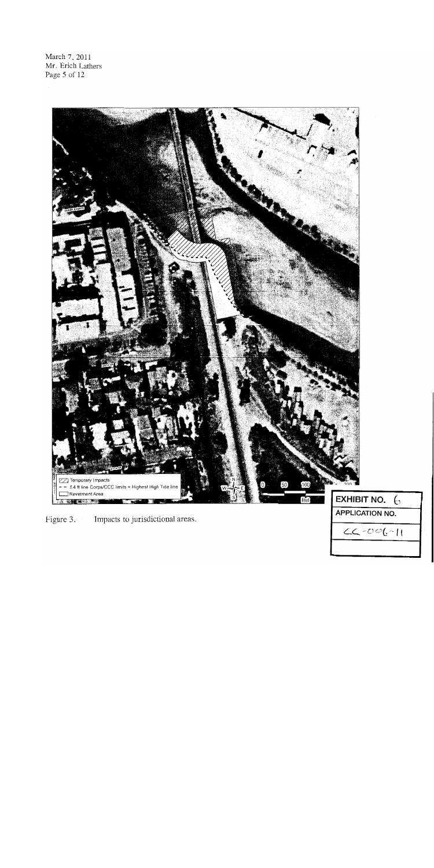March 7, 2011 Mr. Erich Lathers Page 5 of 12



Figure 3. Impacts to jurisdictional areas.